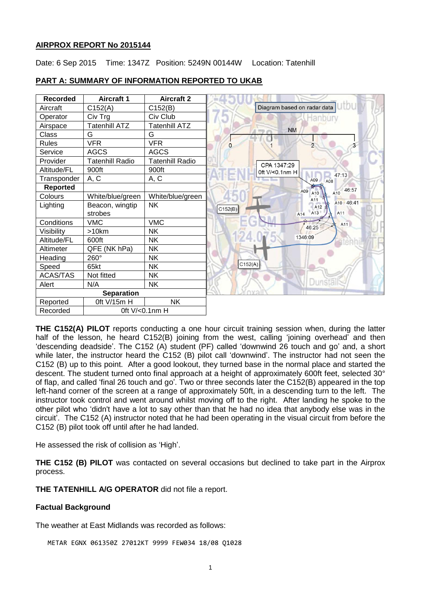### **AIRPROX REPORT No 2015144**

Date: 6 Sep 2015 Time: 1347Z Position: 5249N 00144W Location: Tatenhill



# **PART A: SUMMARY OF INFORMATION REPORTED TO UKAB**

**THE C152(A) PILOT** reports conducting a one hour circuit training session when, during the latter half of the lesson, he heard C152(B) joining from the west, calling 'joining overhead' and then 'descending deadside'. The C152 (A) student (PF) called 'downwind 26 touch and go' and, a short while later, the instructor heard the C152 (B) pilot call 'downwind'. The instructor had not seen the C152 (B) up to this point. After a good lookout, they turned base in the normal place and started the descent. The student turned onto final approach at a height of approximately 600ft feet, selected 30° of flap, and called 'final 26 touch and go'. Two or three seconds later the C152(B) appeared in the top left-hand corner of the screen at a range of approximately 50ft, in a descending turn to the left. The instructor took control and went around whilst moving off to the right. After landing he spoke to the other pilot who 'didn't have a lot to say other than that he had no idea that anybody else was in the circuit'. The C152 (A) instructor noted that he had been operating in the visual circuit from before the C152 (B) pilot took off until after he had landed.

He assessed the risk of collision as 'High'.

**THE C152 (B) PILOT** was contacted on several occasions but declined to take part in the Airprox process.

**THE TATENHILL A/G OPERATOR** did not file a report.

# **Factual Background**

The weather at East Midlands was recorded as follows:

METAR EGNX 061350Z 27012KT 9999 FEW034 18/08 Q1028